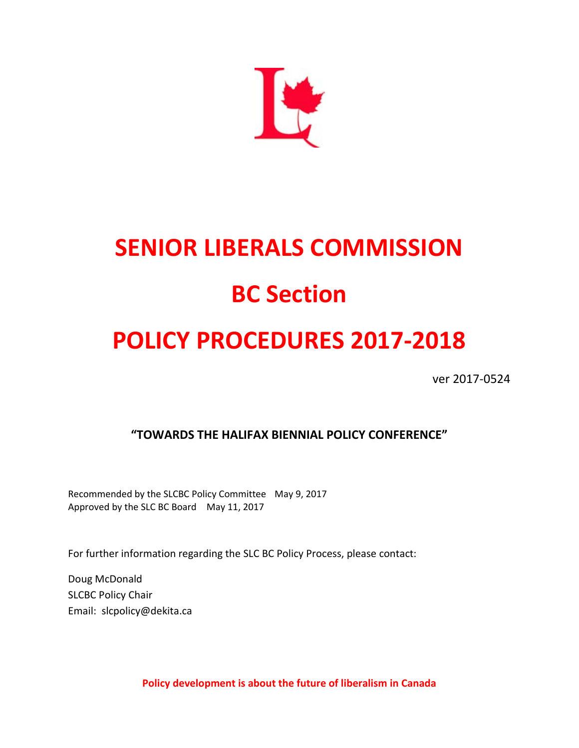

# **SENIOR LIBERALS COMMISSION**

# **BC Section**

## **POLICY PROCEDURES 2017-2018**

ver 2017-0524

**"TOWARDS THE HALIFAX BIENNIAL POLICY CONFERENCE"**

Recommended by the SLCBC Policy Committee May 9, 2017 Approved by the SLC BC Board May 11, 2017

For further information regarding the SLC BC Policy Process, please contact:

Doug McDonald SLCBC Policy Chair Email: slcpolicy@dekita.ca

**Policy development is about the future of liberalism in Canada**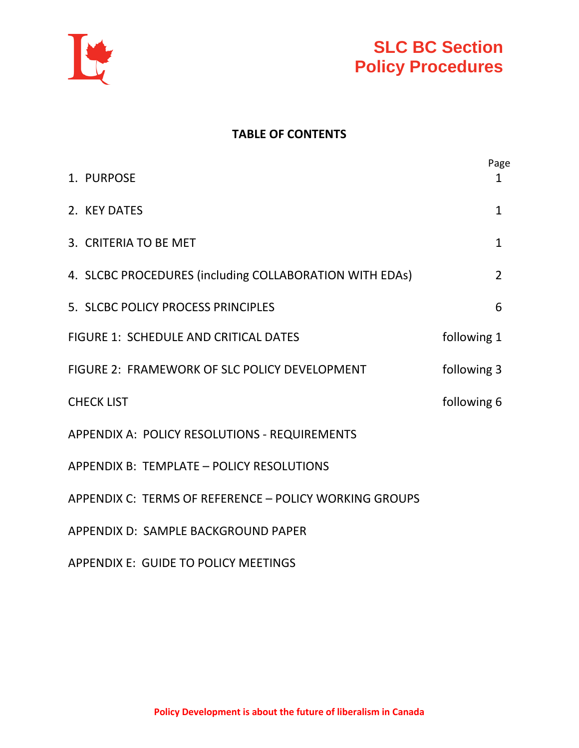



#### **TABLE OF CONTENTS**

|                                                         | Page           |  |
|---------------------------------------------------------|----------------|--|
| 1. PURPOSE                                              | 1              |  |
| 2. KEY DATES                                            | $\mathbf{1}$   |  |
| 3. CRITERIA TO BE MET                                   | $\mathbf{1}$   |  |
| 4. SLCBC PROCEDURES (including COLLABORATION WITH EDAs) | $\overline{2}$ |  |
| 5. SLCBC POLICY PROCESS PRINCIPLES                      | 6              |  |
| <b>FIGURE 1: SCHEDULE AND CRITICAL DATES</b>            | following 1    |  |
| FIGURE 2: FRAMEWORK OF SLC POLICY DEVELOPMENT           | following 3    |  |
| <b>CHECK LIST</b>                                       | following 6    |  |
| APPENDIX A: POLICY RESOLUTIONS - REQUIREMENTS           |                |  |
| APPENDIX B: TEMPLATE - POLICY RESOLUTIONS               |                |  |
| APPENDIX C: TERMS OF REFERENCE - POLICY WORKING GROUPS  |                |  |
| APPENDIX D: SAMPLE BACKGROUND PAPER                     |                |  |
|                                                         |                |  |

APPENDIX E: GUIDE TO POLICY MEETINGS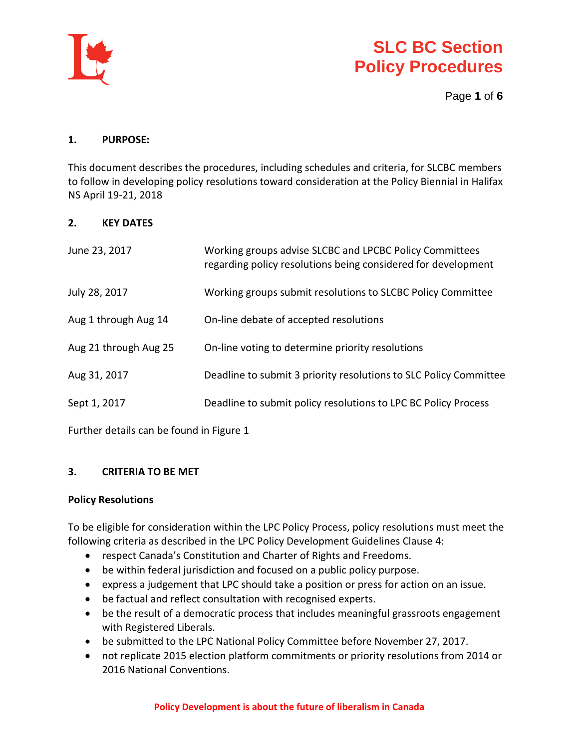

Page **1** of **6**

#### **1. PURPOSE:**

This document describes the procedures, including schedules and criteria, for SLCBC members to follow in developing policy resolutions toward consideration at the Policy Biennial in Halifax NS April 19-21, 2018

#### **2. KEY DATES**

| June 23, 2017         | Working groups advise SLCBC and LPCBC Policy Committees<br>regarding policy resolutions being considered for development |
|-----------------------|--------------------------------------------------------------------------------------------------------------------------|
| July 28, 2017         | Working groups submit resolutions to SLCBC Policy Committee                                                              |
| Aug 1 through Aug 14  | On-line debate of accepted resolutions                                                                                   |
| Aug 21 through Aug 25 | On-line voting to determine priority resolutions                                                                         |
| Aug 31, 2017          | Deadline to submit 3 priority resolutions to SLC Policy Committee                                                        |
| Sept 1, 2017          | Deadline to submit policy resolutions to LPC BC Policy Process                                                           |
|                       |                                                                                                                          |

Further details can be found in Figure 1

#### **3. CRITERIA TO BE MET**

#### **Policy Resolutions**

To be eligible for consideration within the LPC Policy Process, policy resolutions must meet the following criteria as described in the LPC Policy Development Guidelines Clause 4:

- respect Canada's Constitution and Charter of Rights and Freedoms.
- be within federal jurisdiction and focused on a public policy purpose.
- express a judgement that LPC should take a position or press for action on an issue.
- be factual and reflect consultation with recognised experts.
- be the result of a democratic process that includes meaningful grassroots engagement with Registered Liberals.
- be submitted to the LPC National Policy Committee before November 27, 2017.
- not replicate 2015 election platform commitments or priority resolutions from 2014 or 2016 National Conventions.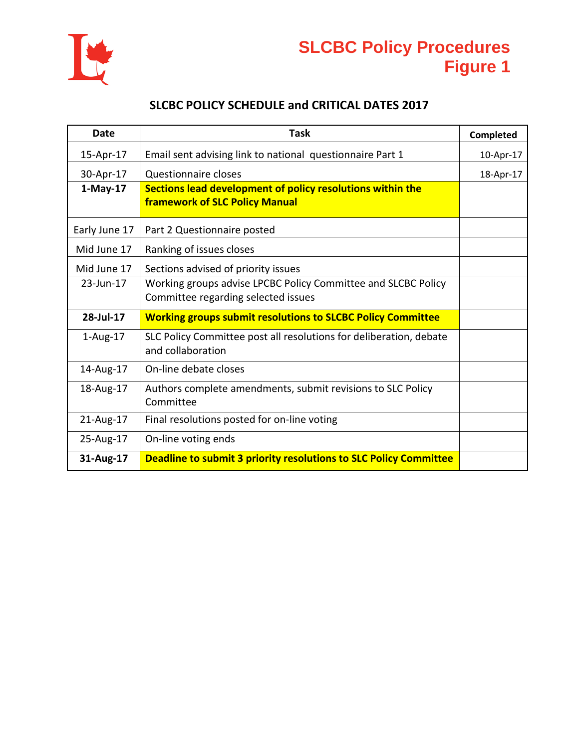

## **SLCBC Policy Procedures Figure 1**

#### **SLCBC POLICY SCHEDULE and CRITICAL DATES 2017**

| <b>Date</b>   | <b>Task</b>                                                                                          | Completed |
|---------------|------------------------------------------------------------------------------------------------------|-----------|
| 15-Apr-17     | Email sent advising link to national questionnaire Part 1                                            | 10-Apr-17 |
| 30-Apr-17     | Questionnaire closes                                                                                 | 18-Apr-17 |
| $1-May-17$    | Sections lead development of policy resolutions within the<br><b>framework of SLC Policy Manual</b>  |           |
| Early June 17 | Part 2 Questionnaire posted                                                                          |           |
| Mid June 17   | Ranking of issues closes                                                                             |           |
| Mid June 17   | Sections advised of priority issues                                                                  |           |
| $23$ -Jun-17  | Working groups advise LPCBC Policy Committee and SLCBC Policy<br>Committee regarding selected issues |           |
| 28-Jul-17     | <b>Working groups submit resolutions to SLCBC Policy Committee</b>                                   |           |
| $1$ -Aug-17   | SLC Policy Committee post all resolutions for deliberation, debate<br>and collaboration              |           |
| 14-Aug-17     | On-line debate closes                                                                                |           |
| 18-Aug-17     | Authors complete amendments, submit revisions to SLC Policy<br>Committee                             |           |
| 21-Aug-17     | Final resolutions posted for on-line voting                                                          |           |
| 25-Aug-17     | On-line voting ends                                                                                  |           |
| 31-Aug-17     | Deadline to submit 3 priority resolutions to SLC Policy Committee                                    |           |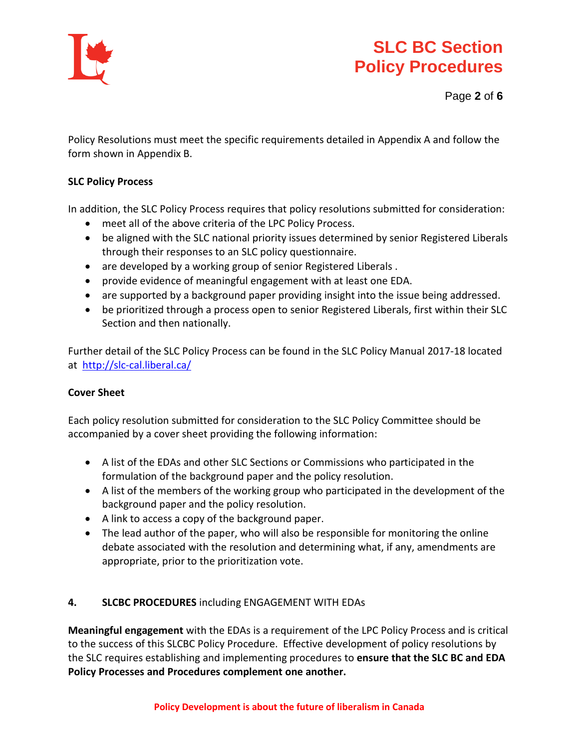

Page **2** of **6**

Policy Resolutions must meet the specific requirements detailed in Appendix A and follow the form shown in Appendix B.

#### **SLC Policy Process**

In addition, the SLC Policy Process requires that policy resolutions submitted for consideration:

- meet all of the above criteria of the LPC Policy Process.
- be aligned with the SLC national priority issues determined by senior Registered Liberals through their responses to an SLC policy questionnaire.
- are developed by a working group of senior Registered Liberals .
- provide evidence of meaningful engagement with at least one EDA.
- are supported by a background paper providing insight into the issue being addressed.
- be prioritized through a process open to senior Registered Liberals, first within their SLC Section and then nationally.

Further detail of the SLC Policy Process can be found in the SLC Policy Manual 2017-18 located at <http://slc-cal.liberal.ca/>

#### **Cover Sheet**

Each policy resolution submitted for consideration to the SLC Policy Committee should be accompanied by a cover sheet providing the following information:

- A list of the EDAs and other SLC Sections or Commissions who participated in the formulation of the background paper and the policy resolution.
- A list of the members of the working group who participated in the development of the background paper and the policy resolution.
- A link to access a copy of the background paper.
- The lead author of the paper, who will also be responsible for monitoring the online debate associated with the resolution and determining what, if any, amendments are appropriate, prior to the prioritization vote.

#### **4. SLCBC PROCEDURES** including ENGAGEMENT WITH EDAs

**Meaningful engagement** with the EDAs is a requirement of the LPC Policy Process and is critical to the success of this SLCBC Policy Procedure. Effective development of policy resolutions by the SLC requires establishing and implementing procedures to **ensure that the SLC BC and EDA Policy Processes and Procedures complement one another.**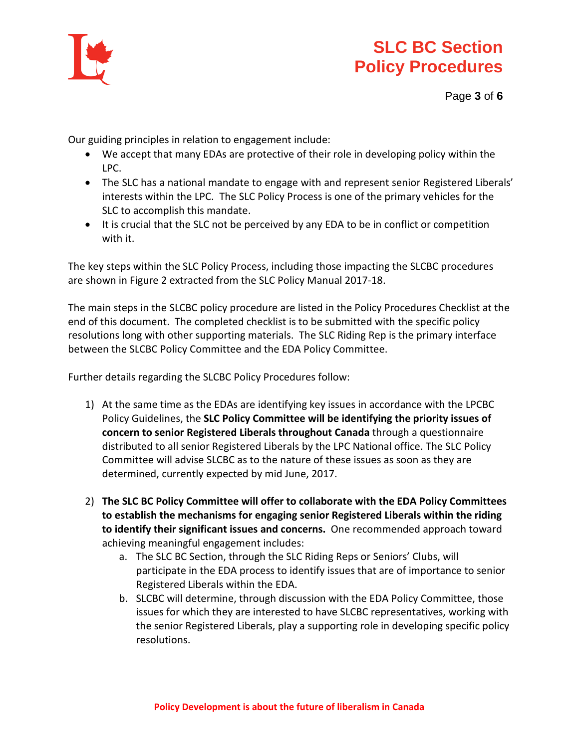

Our guiding principles in relation to engagement include:

- We accept that many EDAs are protective of their role in developing policy within the LPC.
- The SLC has a national mandate to engage with and represent senior Registered Liberals' interests within the LPC. The SLC Policy Process is one of the primary vehicles for the SLC to accomplish this mandate.
- It is crucial that the SLC not be perceived by any EDA to be in conflict or competition with it.

The key steps within the SLC Policy Process, including those impacting the SLCBC procedures are shown in Figure 2 extracted from the SLC Policy Manual 2017-18.

The main steps in the SLCBC policy procedure are listed in the Policy Procedures Checklist at the end of this document. The completed checklist is to be submitted with the specific policy resolutions long with other supporting materials. The SLC Riding Rep is the primary interface between the SLCBC Policy Committee and the EDA Policy Committee.

Further details regarding the SLCBC Policy Procedures follow:

- 1) At the same time as the EDAs are identifying key issues in accordance with the LPCBC Policy Guidelines, the **SLC Policy Committee will be identifying the priority issues of concern to senior Registered Liberals throughout Canada** through a questionnaire distributed to all senior Registered Liberals by the LPC National office. The SLC Policy Committee will advise SLCBC as to the nature of these issues as soon as they are determined, currently expected by mid June, 2017.
- 2) **The SLC BC Policy Committee will offer to collaborate with the EDA Policy Committees to establish the mechanisms for engaging senior Registered Liberals within the riding to identify their significant issues and concerns.** One recommended approach toward achieving meaningful engagement includes:
	- a. The SLC BC Section, through the SLC Riding Reps or Seniors' Clubs, will participate in the EDA process to identify issues that are of importance to senior Registered Liberals within the EDA.
	- b. SLCBC will determine, through discussion with the EDA Policy Committee, those issues for which they are interested to have SLCBC representatives, working with the senior Registered Liberals, play a supporting role in developing specific policy resolutions.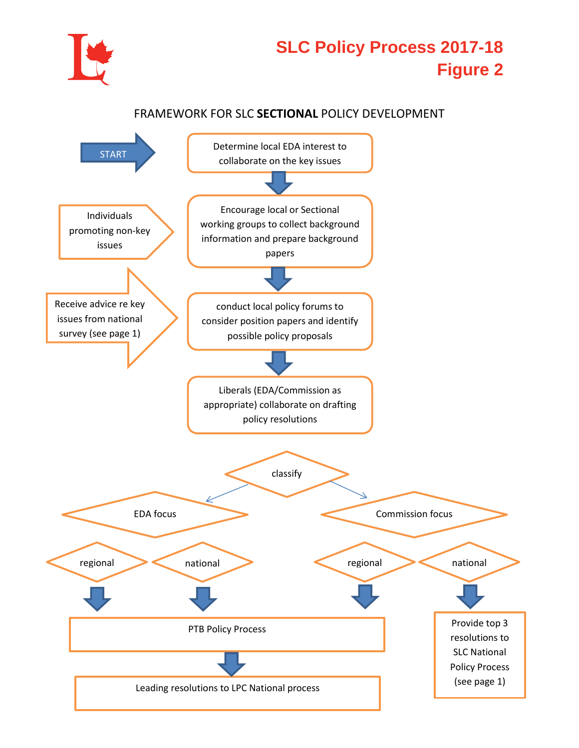

## **SLC Policy Process 2017-18 Figure 2**

#### FRAMEWORK FOR SLC **SECTIONAL** POLICY DEVELOPMENT

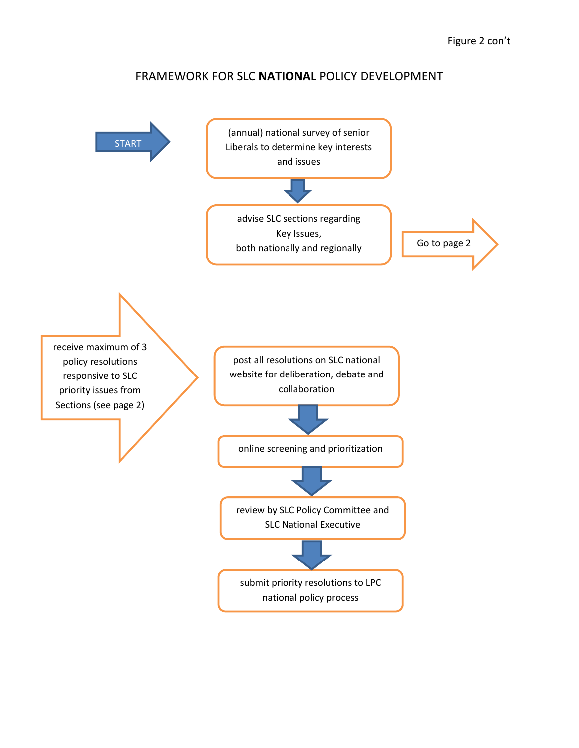#### FRAMEWORK FOR SLC **NATIONAL** POLICY DEVELOPMENT

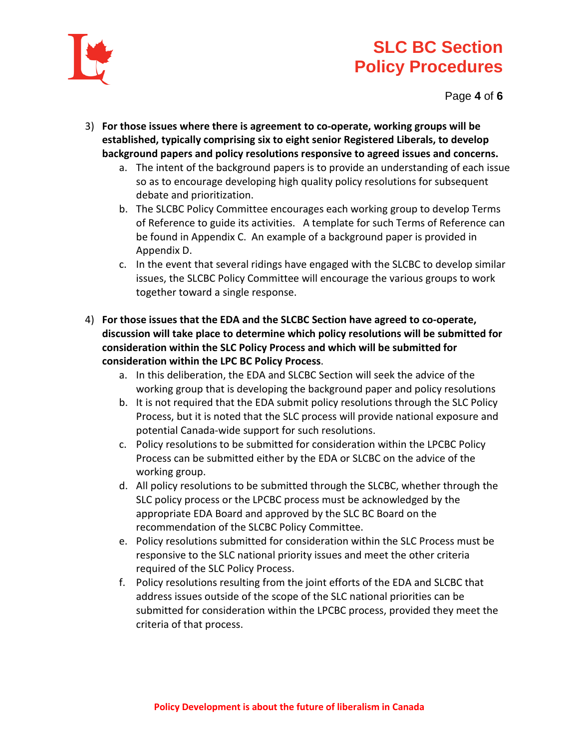

Page **4** of **6**

- 3) **For those issues where there is agreement to co-operate, working groups will be established, typically comprising six to eight senior Registered Liberals, to develop background papers and policy resolutions responsive to agreed issues and concerns.**
	- a. The intent of the background papers is to provide an understanding of each issue so as to encourage developing high quality policy resolutions for subsequent debate and prioritization.
	- b. The SLCBC Policy Committee encourages each working group to develop Terms of Reference to guide its activities. A template for such Terms of Reference can be found in Appendix C. An example of a background paper is provided in Appendix D.
	- c. In the event that several ridings have engaged with the SLCBC to develop similar issues, the SLCBC Policy Committee will encourage the various groups to work together toward a single response.
- 4) **For those issues that the EDA and the SLCBC Section have agreed to co-operate, discussion will take place to determine which policy resolutions will be submitted for consideration within the SLC Policy Process and which will be submitted for consideration within the LPC BC Policy Process**.
	- a. In this deliberation, the EDA and SLCBC Section will seek the advice of the working group that is developing the background paper and policy resolutions
	- b. It is not required that the EDA submit policy resolutions through the SLC Policy Process, but it is noted that the SLC process will provide national exposure and potential Canada-wide support for such resolutions.
	- c. Policy resolutions to be submitted for consideration within the LPCBC Policy Process can be submitted either by the EDA or SLCBC on the advice of the working group.
	- d. All policy resolutions to be submitted through the SLCBC, whether through the SLC policy process or the LPCBC process must be acknowledged by the appropriate EDA Board and approved by the SLC BC Board on the recommendation of the SLCBC Policy Committee.
	- e. Policy resolutions submitted for consideration within the SLC Process must be responsive to the SLC national priority issues and meet the other criteria required of the SLC Policy Process.
	- f. Policy resolutions resulting from the joint efforts of the EDA and SLCBC that address issues outside of the scope of the SLC national priorities can be submitted for consideration within the LPCBC process, provided they meet the criteria of that process.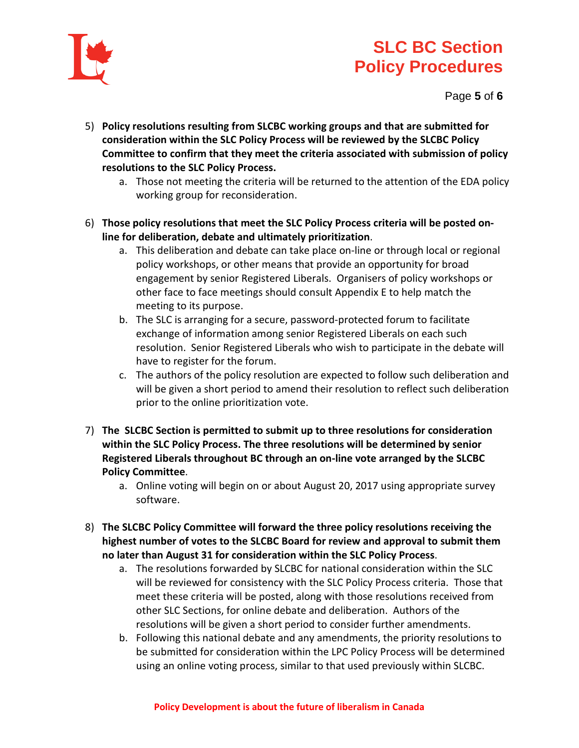

Page **5** of **6**

- 5) **Policy resolutions resulting from SLCBC working groups and that are submitted for consideration within the SLC Policy Process will be reviewed by the SLCBC Policy Committee to confirm that they meet the criteria associated with submission of policy resolutions to the SLC Policy Process.** 
	- a. Those not meeting the criteria will be returned to the attention of the EDA policy working group for reconsideration.
- 6) **Those policy resolutions that meet the SLC Policy Process criteria will be posted online for deliberation, debate and ultimately prioritization**.
	- a. This deliberation and debate can take place on-line or through local or regional policy workshops, or other means that provide an opportunity for broad engagement by senior Registered Liberals. Organisers of policy workshops or other face to face meetings should consult Appendix E to help match the meeting to its purpose.
	- b. The SLC is arranging for a secure, password-protected forum to facilitate exchange of information among senior Registered Liberals on each such resolution. Senior Registered Liberals who wish to participate in the debate will have to register for the forum.
	- c. The authors of the policy resolution are expected to follow such deliberation and will be given a short period to amend their resolution to reflect such deliberation prior to the online prioritization vote.
- 7) **The SLCBC Section is permitted to submit up to three resolutions for consideration within the SLC Policy Process. The three resolutions will be determined by senior Registered Liberals throughout BC through an on-line vote arranged by the SLCBC Policy Committee**.
	- a. Online voting will begin on or about August 20, 2017 using appropriate survey software.
- 8) **The SLCBC Policy Committee will forward the three policy resolutions receiving the highest number of votes to the SLCBC Board for review and approval to submit them no later than August 31 for consideration within the SLC Policy Process**.
	- a. The resolutions forwarded by SLCBC for national consideration within the SLC will be reviewed for consistency with the SLC Policy Process criteria. Those that meet these criteria will be posted, along with those resolutions received from other SLC Sections, for online debate and deliberation. Authors of the resolutions will be given a short period to consider further amendments.
	- b. Following this national debate and any amendments, the priority resolutions to be submitted for consideration within the LPC Policy Process will be determined using an online voting process, similar to that used previously within SLCBC.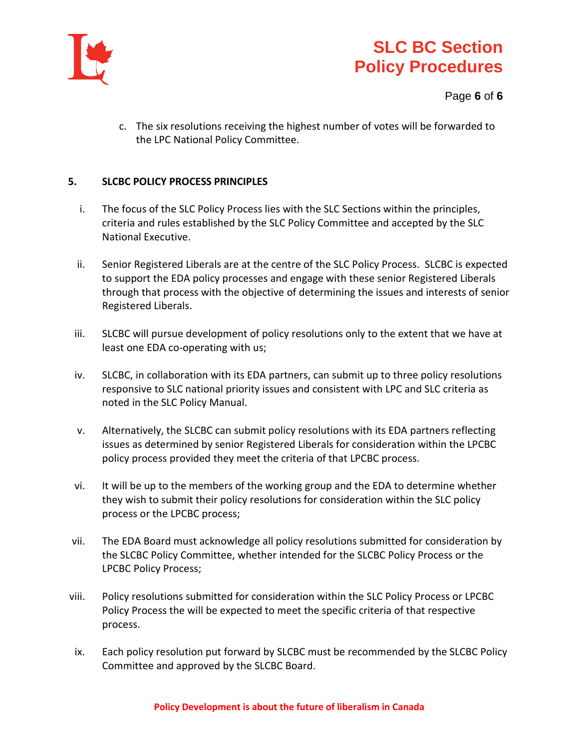

#### Page **6** of **6**

c. The six resolutions receiving the highest number of votes will be forwarded to the LPC National Policy Committee.

#### **5. SLCBC POLICY PROCESS PRINCIPLES**

- i. The focus of the SLC Policy Process lies with the SLC Sections within the principles, criteria and rules established by the SLC Policy Committee and accepted by the SLC National Executive.
- ii. Senior Registered Liberals are at the centre of the SLC Policy Process. SLCBC is expected to support the EDA policy processes and engage with these senior Registered Liberals through that process with the objective of determining the issues and interests of senior Registered Liberals.
- iii. SLCBC will pursue development of policy resolutions only to the extent that we have at least one EDA co-operating with us;
- iv. SLCBC, in collaboration with its EDA partners, can submit up to three policy resolutions responsive to SLC national priority issues and consistent with LPC and SLC criteria as noted in the SLC Policy Manual.
- v. Alternatively, the SLCBC can submit policy resolutions with its EDA partners reflecting issues as determined by senior Registered Liberals for consideration within the LPCBC policy process provided they meet the criteria of that LPCBC process.
- vi. It will be up to the members of the working group and the EDA to determine whether they wish to submit their policy resolutions for consideration within the SLC policy process or the LPCBC process;
- vii. The EDA Board must acknowledge all policy resolutions submitted for consideration by the SLCBC Policy Committee, whether intended for the SLCBC Policy Process or the LPCBC Policy Process;
- viii. Policy resolutions submitted for consideration within the SLC Policy Process or LPCBC Policy Process the will be expected to meet the specific criteria of that respective process.
- ix. Each policy resolution put forward by SLCBC must be recommended by the SLCBC Policy Committee and approved by the SLCBC Board.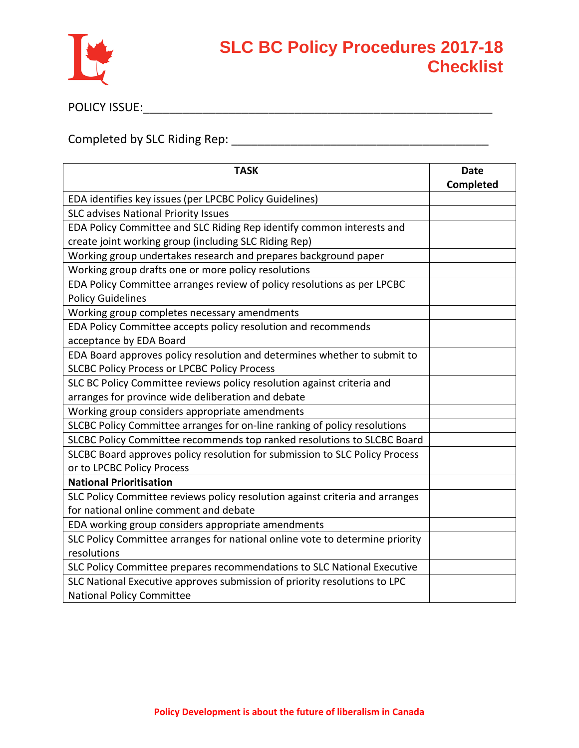

POLICY ISSUE:\_\_\_\_\_\_\_\_\_\_\_\_\_\_\_\_\_\_\_\_\_\_\_\_\_\_\_\_\_\_\_\_\_\_\_\_\_\_\_\_\_\_\_\_\_\_\_\_\_\_\_\_\_

Completed by SLC Riding Rep: \_\_\_\_\_\_\_\_\_\_\_\_\_\_\_\_\_\_\_\_\_\_\_\_\_\_\_\_\_\_\_\_\_\_\_\_\_\_\_

| <b>TASK</b>                                                                  | <b>Date</b> |
|------------------------------------------------------------------------------|-------------|
|                                                                              | Completed   |
| EDA identifies key issues (per LPCBC Policy Guidelines)                      |             |
| <b>SLC advises National Priority Issues</b>                                  |             |
| EDA Policy Committee and SLC Riding Rep identify common interests and        |             |
| create joint working group (including SLC Riding Rep)                        |             |
| Working group undertakes research and prepares background paper              |             |
| Working group drafts one or more policy resolutions                          |             |
| EDA Policy Committee arranges review of policy resolutions as per LPCBC      |             |
| <b>Policy Guidelines</b>                                                     |             |
| Working group completes necessary amendments                                 |             |
| EDA Policy Committee accepts policy resolution and recommends                |             |
| acceptance by EDA Board                                                      |             |
| EDA Board approves policy resolution and determines whether to submit to     |             |
| <b>SLCBC Policy Process or LPCBC Policy Process</b>                          |             |
| SLC BC Policy Committee reviews policy resolution against criteria and       |             |
| arranges for province wide deliberation and debate                           |             |
| Working group considers appropriate amendments                               |             |
| SLCBC Policy Committee arranges for on-line ranking of policy resolutions    |             |
| SLCBC Policy Committee recommends top ranked resolutions to SLCBC Board      |             |
| SLCBC Board approves policy resolution for submission to SLC Policy Process  |             |
| or to LPCBC Policy Process                                                   |             |
| <b>National Prioritisation</b>                                               |             |
| SLC Policy Committee reviews policy resolution against criteria and arranges |             |
| for national online comment and debate                                       |             |
| EDA working group considers appropriate amendments                           |             |
| SLC Policy Committee arranges for national online vote to determine priority |             |
| resolutions                                                                  |             |
| SLC Policy Committee prepares recommendations to SLC National Executive      |             |
| SLC National Executive approves submission of priority resolutions to LPC    |             |
| <b>National Policy Committee</b>                                             |             |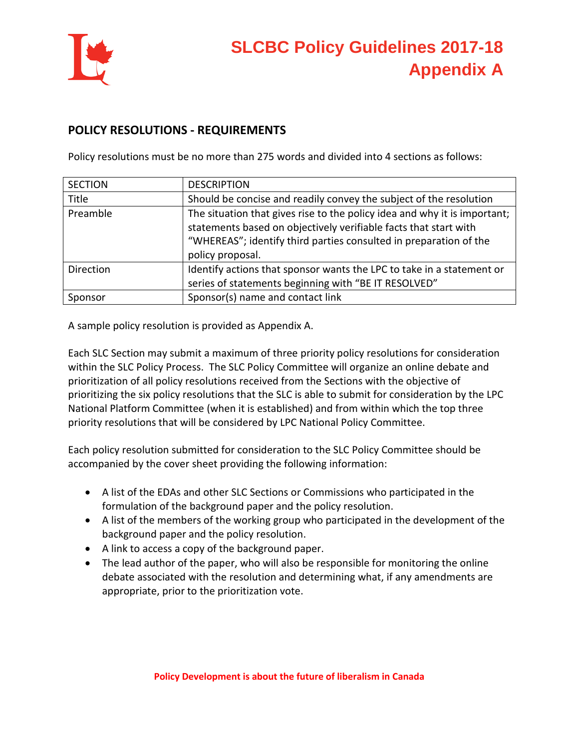

#### **POLICY RESOLUTIONS - REQUIREMENTS**

Policy resolutions must be no more than 275 words and divided into 4 sections as follows:

| <b>SECTION</b> | <b>DESCRIPTION</b>                                                                                                                                                                                                                     |
|----------------|----------------------------------------------------------------------------------------------------------------------------------------------------------------------------------------------------------------------------------------|
| Title          | Should be concise and readily convey the subject of the resolution                                                                                                                                                                     |
| Preamble       | The situation that gives rise to the policy idea and why it is important;<br>statements based on objectively verifiable facts that start with<br>"WHEREAS"; identify third parties consulted in preparation of the<br>policy proposal. |
| Direction      | Identify actions that sponsor wants the LPC to take in a statement or<br>series of statements beginning with "BE IT RESOLVED"                                                                                                          |
| Sponsor        | Sponsor(s) name and contact link                                                                                                                                                                                                       |

A sample policy resolution is provided as Appendix A.

Each SLC Section may submit a maximum of three priority policy resolutions for consideration within the SLC Policy Process. The SLC Policy Committee will organize an online debate and prioritization of all policy resolutions received from the Sections with the objective of prioritizing the six policy resolutions that the SLC is able to submit for consideration by the LPC National Platform Committee (when it is established) and from within which the top three priority resolutions that will be considered by LPC National Policy Committee.

Each policy resolution submitted for consideration to the SLC Policy Committee should be accompanied by the cover sheet providing the following information:

- A list of the EDAs and other SLC Sections or Commissions who participated in the formulation of the background paper and the policy resolution.
- A list of the members of the working group who participated in the development of the background paper and the policy resolution.
- A link to access a copy of the background paper.
- The lead author of the paper, who will also be responsible for monitoring the online debate associated with the resolution and determining what, if any amendments are appropriate, prior to the prioritization vote.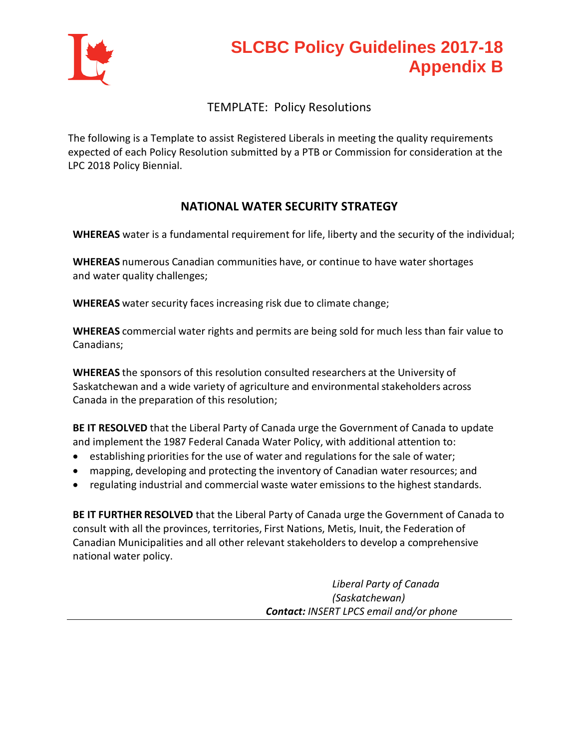

## **SLCBC Policy Guidelines 2017-18 Appendix B**

#### TEMPLATE: Policy Resolutions

The following is a Template to assist Registered Liberals in meeting the quality requirements expected of each Policy Resolution submitted by a PTB or Commission for consideration at the LPC 2018 Policy Biennial.

#### **NATIONAL WATER SECURITY STRATEGY**

**WHEREAS** water is a fundamental requirement for life, liberty and the security of the individual;

**WHEREAS** numerous Canadian communities have, or continue to have water shortages and water quality challenges;

**WHEREAS** water security faces increasing risk due to climate change;

**WHEREAS** commercial water rights and permits are being sold for much less than fair value to Canadians;

**WHEREAS** the sponsors of this resolution consulted researchers at the University of Saskatchewan and a wide variety of agriculture and environmental stakeholders across Canada in the preparation of this resolution;

**BE IT RESOLVED** that the Liberal Party of Canada urge the Government of Canada to update and implement the 1987 Federal Canada Water Policy, with additional attention to:

- establishing priorities for the use of water and regulations for the sale of water;
- mapping, developing and protecting the inventory of Canadian water resources; and
- regulating industrial and commercial waste water emissions to the highest standards.

**BE IT FURTHER RESOLVED** that the Liberal Party of Canada urge the Government of Canada to consult with all the provinces, territories, First Nations, Metis, Inuit, the Federation of Canadian Municipalities and all other relevant stakeholdersto develop a comprehensive national water policy.

> *Liberal Party of Canada (Saskatchewan) Contact: INSERT LPCS email and/or phone*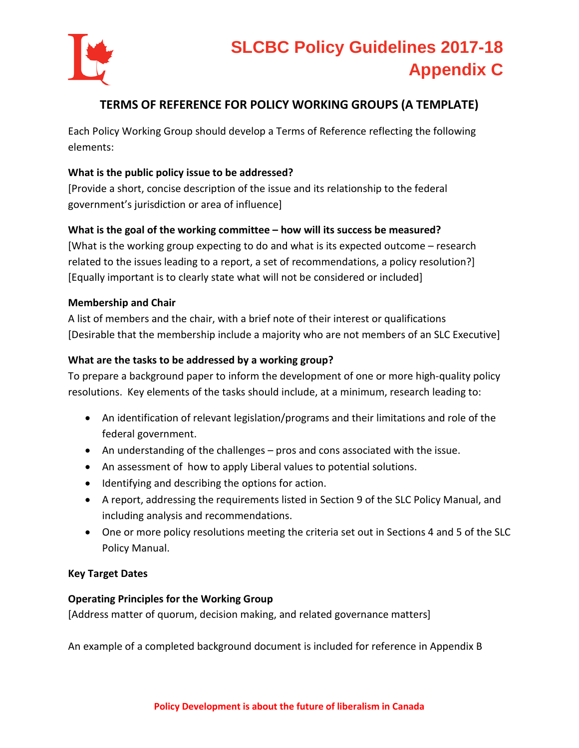

#### **TERMS OF REFERENCE FOR POLICY WORKING GROUPS (A TEMPLATE)**

Each Policy Working Group should develop a Terms of Reference reflecting the following elements:

#### **What is the public policy issue to be addressed?**

[Provide a short, concise description of the issue and its relationship to the federal government's jurisdiction or area of influence]

#### **What is the goal of the working committee – how will its success be measured?**

[What is the working group expecting to do and what is its expected outcome – research related to the issues leading to a report, a set of recommendations, a policy resolution?] [Equally important is to clearly state what will not be considered or included]

#### **Membership and Chair**

A list of members and the chair, with a brief note of their interest or qualifications [Desirable that the membership include a majority who are not members of an SLC Executive]

#### **What are the tasks to be addressed by a working group?**

To prepare a background paper to inform the development of one or more high-quality policy resolutions. Key elements of the tasks should include, at a minimum, research leading to:

- An identification of relevant legislation/programs and their limitations and role of the federal government.
- An understanding of the challenges pros and cons associated with the issue.
- An assessment of how to apply Liberal values to potential solutions.
- Identifying and describing the options for action.
- A report, addressing the requirements listed in Section 9 of the SLC Policy Manual, and including analysis and recommendations.
- One or more policy resolutions meeting the criteria set out in Sections 4 and 5 of the SLC Policy Manual.

#### **Key Target Dates**

#### **Operating Principles for the Working Group**

[Address matter of quorum, decision making, and related governance matters]

An example of a completed background document is included for reference in Appendix B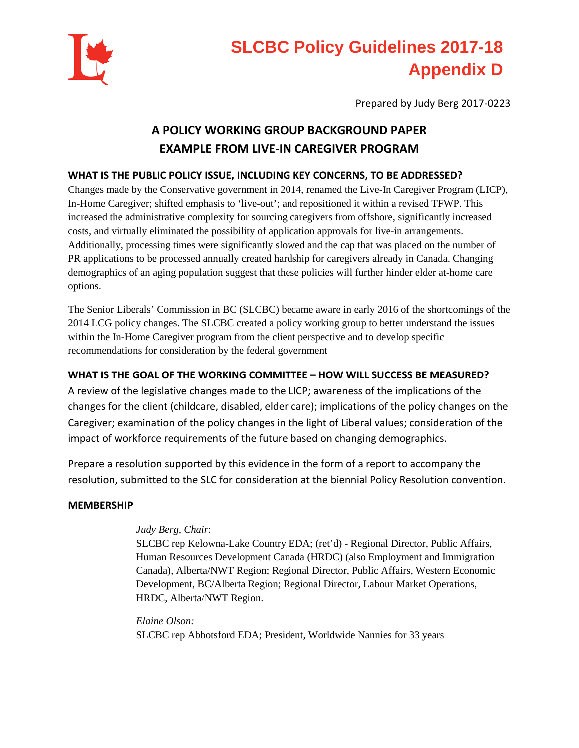

## **SLCBC Policy Guidelines 2017-18 Appendix D**

Prepared by Judy Berg 2017-0223

### **A POLICY WORKING GROUP BACKGROUND PAPER EXAMPLE FROM LIVE-IN CAREGIVER PROGRAM**

#### **WHAT IS THE PUBLIC POLICY ISSUE, INCLUDING KEY CONCERNS, TO BE ADDRESSED?**

Changes made by the Conservative government in 2014, renamed the Live-In Caregiver Program (LICP), In-Home Caregiver; shifted emphasis to 'live-out'; and repositioned it within a revised TFWP. This increased the administrative complexity for sourcing caregivers from offshore, significantly increased costs, and virtually eliminated the possibility of application approvals for live-in arrangements. Additionally, processing times were significantly slowed and the cap that was placed on the number of PR applications to be processed annually created hardship for caregivers already in Canada. Changing demographics of an aging population suggest that these policies will further hinder elder at-home care options.

The Senior Liberals' Commission in BC (SLCBC) became aware in early 2016 of the shortcomings of the 2014 LCG policy changes. The SLCBC created a policy working group to better understand the issues within the In-Home Caregiver program from the client perspective and to develop specific recommendations for consideration by the federal government

#### **WHAT IS THE GOAL OF THE WORKING COMMITTEE – HOW WILL SUCCESS BE MEASURED?**

A review of the legislative changes made to the LICP; awareness of the implications of the changes for the client (childcare, disabled, elder care); implications of the policy changes on the Caregiver; examination of the policy changes in the light of Liberal values; consideration of the impact of workforce requirements of the future based on changing demographics.

Prepare a resolution supported by this evidence in the form of a report to accompany the resolution, submitted to the SLC for consideration at the biennial Policy Resolution convention.

#### **MEMBERSHIP**

#### *Judy Berg, Chair*:

SLCBC rep Kelowna-Lake Country EDA; (ret'd) - Regional Director, Public Affairs, Human Resources Development Canada (HRDC) (also Employment and Immigration Canada), Alberta/NWT Region; Regional Director, Public Affairs, Western Economic Development, BC/Alberta Region; Regional Director, Labour Market Operations, HRDC, Alberta/NWT Region.

*Elaine Olson:* SLCBC rep Abbotsford EDA; President, Worldwide Nannies for 33 years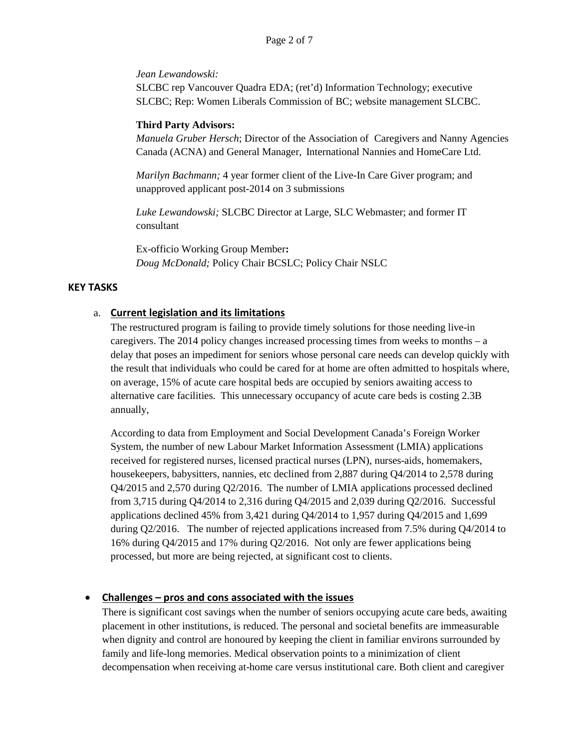#### *Jean Lewandowski:*

SLCBC rep Vancouver Quadra EDA; (ret'd) Information Technology; executive SLCBC; Rep: Women Liberals Commission of BC; website management SLCBC.

#### **Third Party Advisors:**

*Manuela Gruber Hersch*; Director of the Association of Caregivers and Nanny Agencies Canada (ACNA) and General Manager, International Nannies and HomeCare Ltd.

*Marilyn Bachmann;* 4 year former client of the Live-In Care Giver program; and unapproved applicant post-2014 on 3 submissions

*Luke Lewandowski;* SLCBC Director at Large, SLC Webmaster; and former IT consultant

Ex-officio Working Group Member**:**  *Doug McDonald;* Policy Chair BCSLC; Policy Chair NSLC

#### **KEY TASKS**

#### a. **Current legislation and its limitations**

The restructured program is failing to provide timely solutions for those needing live-in caregivers. The 2014 policy changes increased processing times from weeks to months – a delay that poses an impediment for seniors whose personal care needs can develop quickly with the result that individuals who could be cared for at home are often admitted to hospitals where, on average, 15% of acute care hospital beds are occupied by seniors awaiting access to alternative care facilities. This unnecessary occupancy of acute care beds is costing 2.3B annually,

According to data from Employment and Social Development Canada's Foreign Worker System, the number of new Labour Market Information Assessment (LMIA) applications received for registered nurses, licensed practical nurses (LPN), nurses-aids, homemakers, housekeepers, babysitters, nannies, etc declined from 2,887 during Q4/2014 to 2,578 during Q4/2015 and 2,570 during Q2/2016. The number of LMIA applications processed declined from 3,715 during Q4/2014 to 2,316 during Q4/2015 and 2,039 during Q2/2016. Successful applications declined 45% from 3,421 during Q4/2014 to 1,957 during Q4/2015 and 1,699 during Q2/2016. The number of rejected applications increased from 7.5% during Q4/2014 to 16% during Q4/2015 and 17% during Q2/2016. Not only are fewer applications being processed, but more are being rejected, at significant cost to clients.

#### • **Challenges – pros and cons associated with the issues**

There is significant cost savings when the number of seniors occupying acute care beds, awaiting placement in other institutions, is reduced. The personal and societal benefits are immeasurable when dignity and control are honoured by keeping the client in familiar environs surrounded by family and life-long memories. Medical observation points to a minimization of client decompensation when receiving at-home care versus institutional care. Both client and caregiver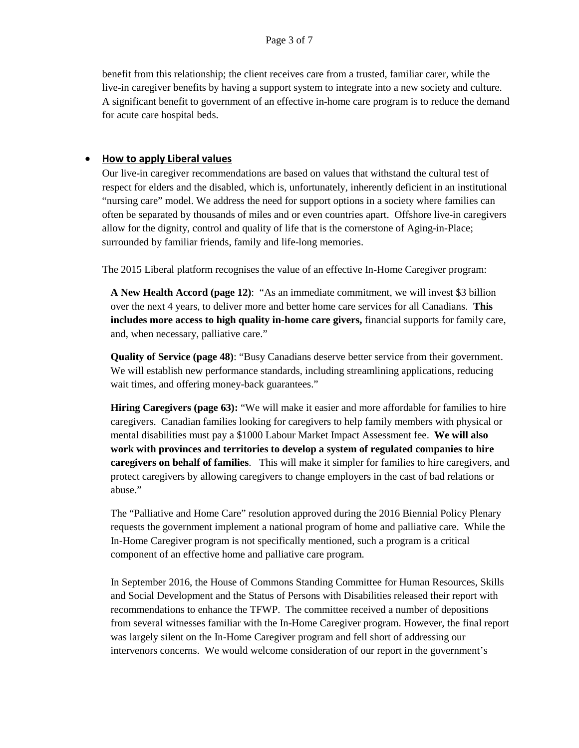benefit from this relationship; the client receives care from a trusted, familiar carer, while the live-in caregiver benefits by having a support system to integrate into a new society and culture. A significant benefit to government of an effective in-home care program is to reduce the demand for acute care hospital beds.

#### • **How to apply Liberal values**

Our live-in caregiver recommendations are based on values that withstand the cultural test of respect for elders and the disabled, which is, unfortunately, inherently deficient in an institutional "nursing care" model. We address the need for support options in a society where families can often be separated by thousands of miles and or even countries apart. Offshore live-in caregivers allow for the dignity, control and quality of life that is the cornerstone of Aging-in-Place; surrounded by familiar friends, family and life-long memories.

The 2015 Liberal platform recognises the value of an effective In-Home Caregiver program:

**A New Health Accord (page 12)**: "As an immediate commitment, we will invest \$3 billion over the next 4 years, to deliver more and better home care services for all Canadians. **This includes more access to high quality in-home care givers,** financial supports for family care, and, when necessary, palliative care."

**Quality of Service (page 48)**: "Busy Canadians deserve better service from their government. We will establish new performance standards, including streamlining applications, reducing wait times, and offering money-back guarantees."

**Hiring Caregivers (page 63):** "We will make it easier and more affordable for families to hire caregivers. Canadian families looking for caregivers to help family members with physical or mental disabilities must pay a \$1000 Labour Market Impact Assessment fee. **We will also work with provinces and territories to develop a system of regulated companies to hire caregivers on behalf of families**. This will make it simpler for families to hire caregivers, and protect caregivers by allowing caregivers to change employers in the cast of bad relations or abuse."

The "Palliative and Home Care" resolution approved during the 2016 Biennial Policy Plenary requests the government implement a national program of home and palliative care. While the In-Home Caregiver program is not specifically mentioned, such a program is a critical component of an effective home and palliative care program.

In September 2016, the House of Commons Standing Committee for Human Resources, Skills and Social Development and the Status of Persons with Disabilities released their report with recommendations to enhance the TFWP. The committee received a number of depositions from several witnesses familiar with the In-Home Caregiver program. However, the final report was largely silent on the In-Home Caregiver program and fell short of addressing our intervenors concerns. We would welcome consideration of our report in the government's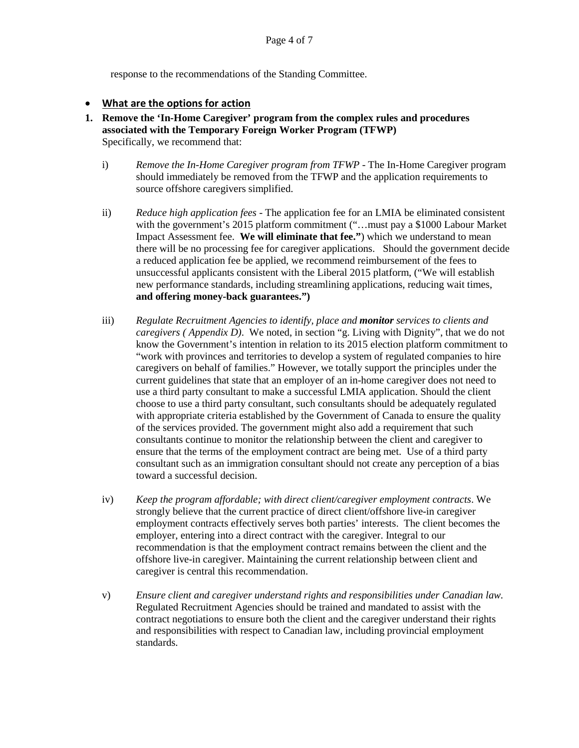response to the recommendations of the Standing Committee.

#### • **What are the options for action**

- **1. Remove the 'In-Home Caregiver' program from the complex rules and procedures associated with the Temporary Foreign Worker Program (TFWP)**  Specifically, we recommend that:
	- i) *Remove the In-Home Caregiver program from TFWP* The In-Home Caregiver program should immediately be removed from the TFWP and the application requirements to source offshore caregivers simplified.
	- ii) *Reduce high application fees* The application fee for an LMIA be eliminated consistent with the government's 2015 platform commitment ("...must pay a \$1000 Labour Market Impact Assessment fee. **We will eliminate that fee."**) which we understand to mean there will be no processing fee for caregiver applications. Should the government decide a reduced application fee be applied, we recommend reimbursement of the fees to unsuccessful applicants consistent with the Liberal 2015 platform, ("We will establish new performance standards, including streamlining applications, reducing wait times, **and offering money-back guarantees.")**
	- iii) *Regulate Recruitment Agencies to identify, place and monitor services to clients and caregivers ( Appendix D)*. We noted, in section "g. Living with Dignity", that we do not know the Government's intention in relation to its 2015 election platform commitment to "work with provinces and territories to develop a system of regulated companies to hire caregivers on behalf of families." However, we totally support the principles under the current guidelines that state that an employer of an in-home caregiver does not need to use a third party consultant to make a successful LMIA application. Should the client choose to use a third party consultant, such consultants should be adequately regulated with appropriate criteria established by the Government of Canada to ensure the quality of the services provided. The government might also add a requirement that such consultants continue to monitor the relationship between the client and caregiver to ensure that the terms of the employment contract are being met. Use of a third party consultant such as an immigration consultant should not create any perception of a bias toward a successful decision.
	- iv) *Keep the program affordable; with direct client/caregiver employment contracts*. We strongly believe that the current practice of direct client/offshore live-in caregiver employment contracts effectively serves both parties' interests. The client becomes the employer, entering into a direct contract with the caregiver. Integral to our recommendation is that the employment contract remains between the client and the offshore live-in caregiver. Maintaining the current relationship between client and caregiver is central this recommendation.
	- v) *Ensure client and caregiver understand rights and responsibilities under Canadian law.* Regulated Recruitment Agencies should be trained and mandated to assist with the contract negotiations to ensure both the client and the caregiver understand their rights and responsibilities with respect to Canadian law, including provincial employment standards.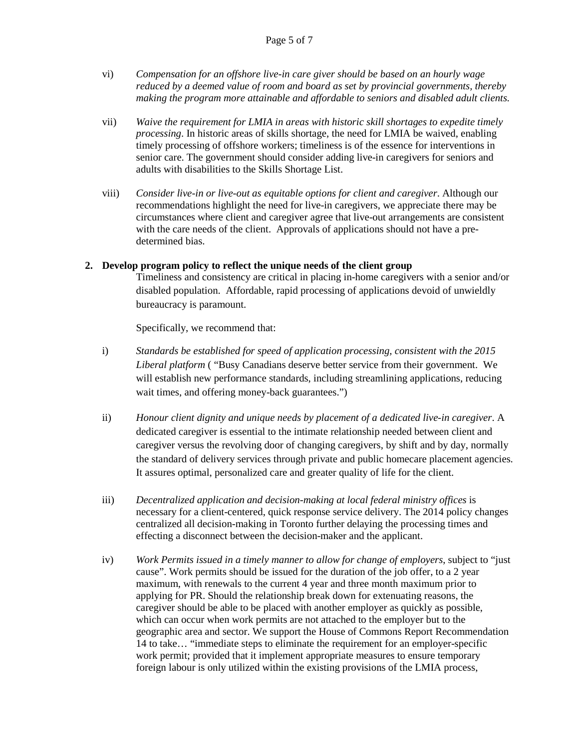- vi) *Compensation for an offshore live-in care giver should be based on an hourly wage reduced by a deemed value of room and board as set by provincial governments, thereby making the program more attainable and affordable to seniors and disabled adult clients.*
- vii) *Waive the requirement for LMIA in areas with historic skill shortages to expedite timely processing*. In historic areas of skills shortage, the need for LMIA be waived, enabling timely processing of offshore workers; timeliness is of the essence for interventions in senior care. The government should consider adding live-in caregivers for seniors and adults with disabilities to the Skills Shortage List.
- viii) *Consider live-in or live-out as equitable options for client and caregiver*. Although our recommendations highlight the need for live-in caregivers, we appreciate there may be circumstances where client and caregiver agree that live-out arrangements are consistent with the care needs of the client. Approvals of applications should not have a predetermined bias.

#### **2. Develop program policy to reflect the unique needs of the client group**

Timeliness and consistency are critical in placing in-home caregivers with a senior and/or disabled population. Affordable, rapid processing of applications devoid of unwieldly bureaucracy is paramount.

Specifically, we recommend that:

- i) *Standards be established for speed of application processing, consistent with the 2015 Liberal platform* ( "Busy Canadians deserve better service from their government. We will establish new performance standards, including streamlining applications, reducing wait times, and offering money-back guarantees.")
- ii) *Honour client dignity and unique needs by placement of a dedicated live-in caregiver*. A dedicated caregiver is essential to the intimate relationship needed between client and caregiver versus the revolving door of changing caregivers, by shift and by day, normally the standard of delivery services through private and public homecare placement agencies. It assures optimal, personalized care and greater quality of life for the client.
- iii) *Decentralized application and decision-making at local federal ministry offices* is necessary for a client-centered, quick response service delivery. The 2014 policy changes centralized all decision-making in Toronto further delaying the processing times and effecting a disconnect between the decision-maker and the applicant.
- iv) *Work Permits issued in a timely manner to allow for change of employers*, subject to "just cause". Work permits should be issued for the duration of the job offer, to a 2 year maximum, with renewals to the current 4 year and three month maximum prior to applying for PR. Should the relationship break down for extenuating reasons, the caregiver should be able to be placed with another employer as quickly as possible, which can occur when work permits are not attached to the employer but to the geographic area and sector. We support the House of Commons Report Recommendation 14 to take… "immediate steps to eliminate the requirement for an employer-specific work permit; provided that it implement appropriate measures to ensure temporary foreign labour is only utilized within the existing provisions of the LMIA process,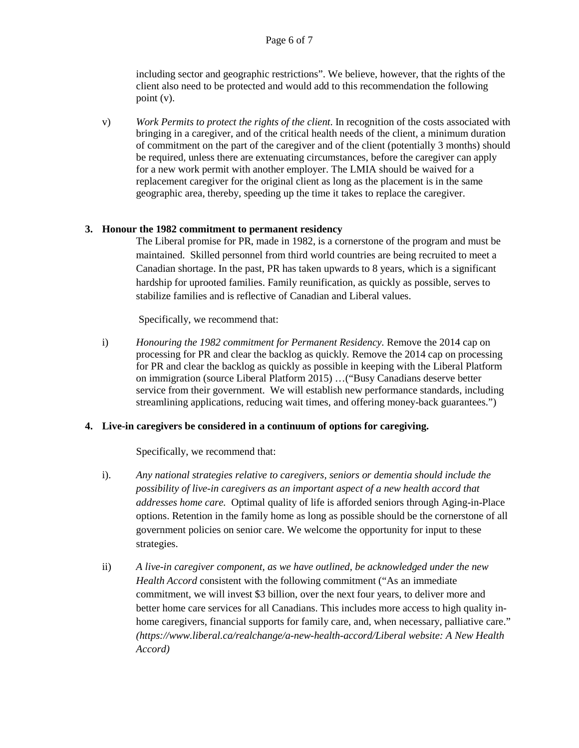including sector and geographic restrictions". We believe, however, that the rights of the client also need to be protected and would add to this recommendation the following point (v).

v) *Work Permits to protect the rights of the client*. In recognition of the costs associated with bringing in a caregiver, and of the critical health needs of the client, a minimum duration of commitment on the part of the caregiver and of the client (potentially 3 months) should be required, unless there are extenuating circumstances, before the caregiver can apply for a new work permit with another employer. The LMIA should be waived for a replacement caregiver for the original client as long as the placement is in the same geographic area, thereby, speeding up the time it takes to replace the caregiver.

#### **3. Honour the 1982 commitment to permanent residency**

The Liberal promise for PR, made in 1982, is a cornerstone of the program and must be maintained. Skilled personnel from third world countries are being recruited to meet a Canadian shortage. In the past, PR has taken upwards to 8 years, which is a significant hardship for uprooted families. Family reunification, as quickly as possible, serves to stabilize families and is reflective of Canadian and Liberal values.

Specifically, we recommend that:

i) *Honouring the 1982 commitment for Permanent Residency.* Remove the 2014 cap on processing for PR and clear the backlog as quickly*.* Remove the 2014 cap on processing for PR and clear the backlog as quickly as possible in keeping with the Liberal Platform on immigration (source Liberal Platform 2015) …("Busy Canadians deserve better service from their government. We will establish new performance standards, including streamlining applications, reducing wait times, and offering money-back guarantees.")

#### **4. Live-in caregivers be considered in a continuum of options for caregiving.**

Specifically, we recommend that:

- i). *Any national strategies relative to caregivers, seniors or dementia should include the possibility of live-in caregivers as an important aspect of a new health accord that addresses home care.* Optimal quality of life is afforded seniors through Aging-in-Place options. Retention in the family home as long as possible should be the cornerstone of all government policies on senior care. We welcome the opportunity for input to these strategies.
- ii) *A live-in caregiver component, as we have outlined, be acknowledged under the new Health Accord* consistent with the following commitment ("As an immediate commitment, we will invest \$3 billion, over the next four years, to deliver more and better home care services for all Canadians. This includes more access to high quality inhome caregivers, financial supports for family care, and, when necessary, palliative care." *(https://www.liberal.ca/realchange/a-new-health-accord/Liberal website: A New Health Accord)*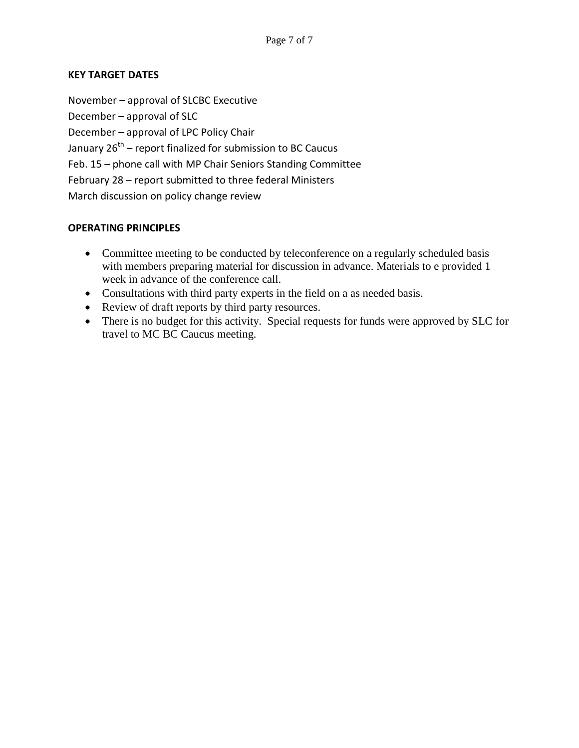#### **KEY TARGET DATES**

November – approval of SLCBC Executive December – approval of SLC December – approval of LPC Policy Chair January  $26<sup>th</sup>$  – report finalized for submission to BC Caucus Feb. 15 – phone call with MP Chair Seniors Standing Committee February 28 – report submitted to three federal Ministers March discussion on policy change review

#### **OPERATING PRINCIPLES**

- Committee meeting to be conducted by teleconference on a regularly scheduled basis with members preparing material for discussion in advance. Materials to e provided 1 week in advance of the conference call.
- Consultations with third party experts in the field on a as needed basis.
- Review of draft reports by third party resources.
- There is no budget for this activity. Special requests for funds were approved by SLC for travel to MC BC Caucus meeting.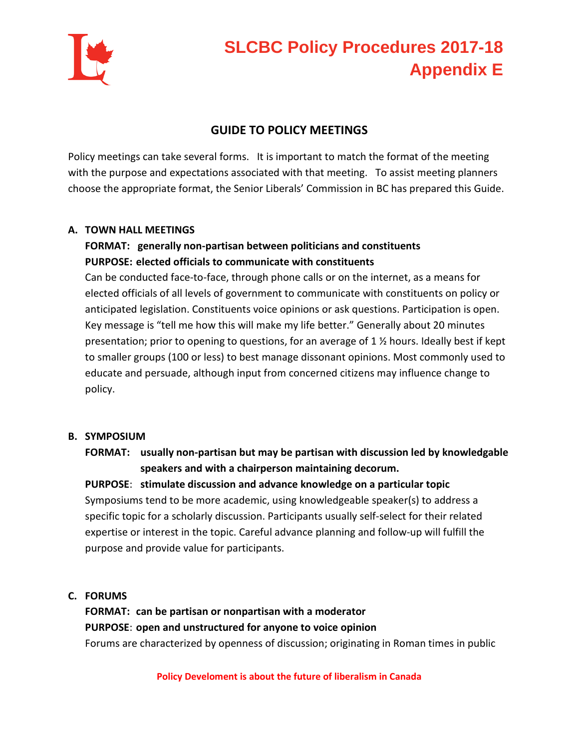

## **SLCBC Policy Procedures 2017-18 Appendix E**

#### **GUIDE TO POLICY MEETINGS**

Policy meetings can take several forms. It is important to match the format of the meeting with the purpose and expectations associated with that meeting. To assist meeting planners choose the appropriate format, the Senior Liberals' Commission in BC has prepared this Guide.

#### **A. TOWN HALL MEETINGS**

#### **FORMAT: generally non-partisan between politicians and constituents PURPOSE: elected officials to communicate with constituents**

Can be conducted face-to-face, through phone calls or on the internet, as a means for elected officials of all levels of government to communicate with constituents on policy or anticipated legislation. Constituents voice opinions or ask questions. Participation is open. Key message is "tell me how this will make my life better." Generally about 20 minutes presentation; prior to opening to questions, for an average of 1 ½ hours. Ideally best if kept to smaller groups (100 or less) to best manage dissonant opinions. Most commonly used to educate and persuade, although input from concerned citizens may influence change to policy.

#### **B. SYMPOSIUM**

#### **FORMAT: usually non-partisan but may be partisan with discussion led by knowledgable speakers and with a chairperson maintaining decorum.**

**PURPOSE**: **stimulate discussion and advance knowledge on a particular topic** Symposiums tend to be more academic, using knowledgeable speaker(s) to address a specific topic for a scholarly discussion. Participants usually self-select for their related expertise or interest in the topic. Careful advance planning and follow-up will fulfill the purpose and provide value for participants.

#### **C. FORUMS**

**FORMAT: can be partisan or nonpartisan with a moderator PURPOSE**: **open and unstructured for anyone to voice opinion** Forums are characterized by openness of discussion; originating in Roman times in public

**Policy Develoment is about the future of liberalism in Canada**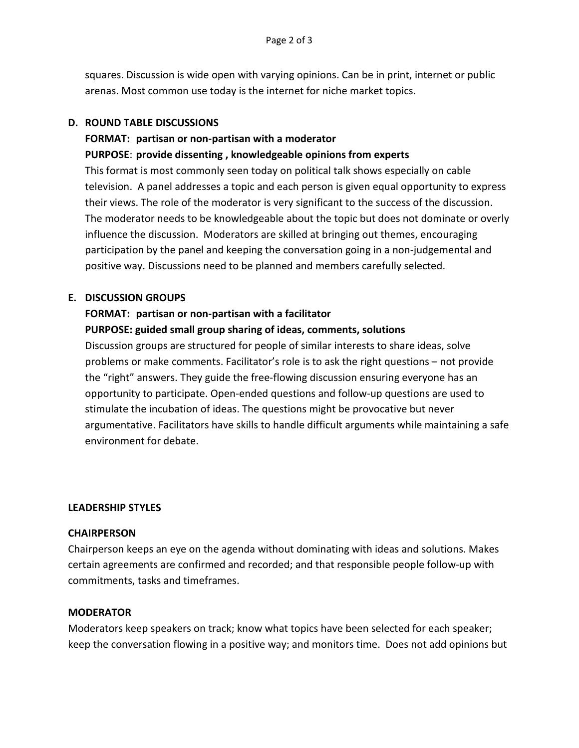squares. Discussion is wide open with varying opinions. Can be in print, internet or public arenas. Most common use today is the internet for niche market topics.

#### **D. ROUND TABLE DISCUSSIONS**

#### **FORMAT: partisan or non-partisan with a moderator**

**PURPOSE**: **provide dissenting , knowledgeable opinions from experts**

This format is most commonly seen today on political talk shows especially on cable television. A panel addresses a topic and each person is given equal opportunity to express their views. The role of the moderator is very significant to the success of the discussion. The moderator needs to be knowledgeable about the topic but does not dominate or overly influence the discussion. Moderators are skilled at bringing out themes, encouraging participation by the panel and keeping the conversation going in a non-judgemental and positive way. Discussions need to be planned and members carefully selected.

#### **E. DISCUSSION GROUPS**

#### **FORMAT: partisan or non-partisan with a facilitator**

#### **PURPOSE: guided small group sharing of ideas, comments, solutions**

Discussion groups are structured for people of similar interests to share ideas, solve problems or make comments. Facilitator's role is to ask the right questions – not provide the "right" answers. They guide the free-flowing discussion ensuring everyone has an opportunity to participate. Open-ended questions and follow-up questions are used to stimulate the incubation of ideas. The questions might be provocative but never argumentative. Facilitators have skills to handle difficult arguments while maintaining a safe environment for debate.

#### **LEADERSHIP STYLES**

#### **CHAIRPERSON**

Chairperson keeps an eye on the agenda without dominating with ideas and solutions. Makes certain agreements are confirmed and recorded; and that responsible people follow-up with commitments, tasks and timeframes.

#### **MODERATOR**

Moderators keep speakers on track; know what topics have been selected for each speaker; keep the conversation flowing in a positive way; and monitors time. Does not add opinions but